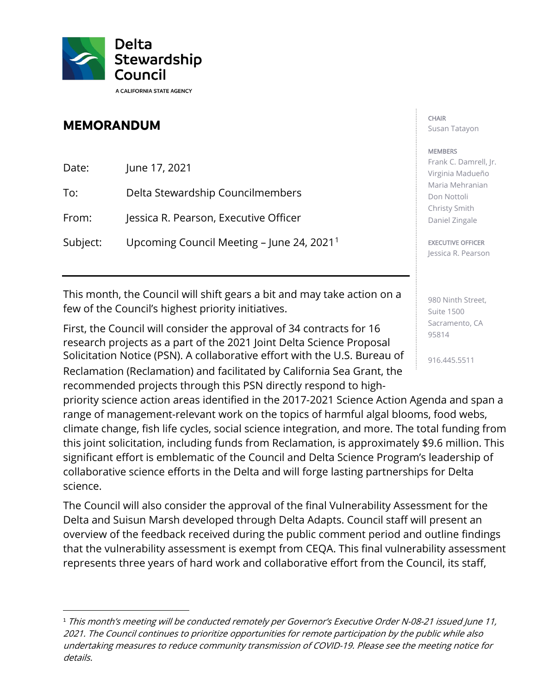

## **MEMORANDUM**

| Date:    | June 17, 2021                                           |
|----------|---------------------------------------------------------|
| To:      | Delta Stewardship Councilmembers                        |
| From:    | Jessica R. Pearson, Executive Officer                   |
| Subject: | Upcoming Council Meeting $-$ June 24, 2021 <sup>1</sup> |

 This month, the Council will shift gears a bit and may take action on a few of the Council's highest priority initiatives.

 First, the Council will consider the approval of 34 contracts for 16 research projects as a part of the 2021 Joint Delta Science Proposal Solicitation Notice (PSN). A collaborative effort with the U.S. Bureau of  $\frac{1}{916.445.5511}$ Reclamation (Reclamation) and facilitated by California Sea Grant, the recommended projects through this PSN directly respond to high-

 climate change, fish life cycles, social science integration, and more. The total funding from this joint solicitation, including funds from Reclamation, is approximately \$9.6 million. This priority science action areas identified in the 2017-2021 Science Action Agenda and span a range of management-relevant work on the topics of harmful algal blooms, food webs, significant effort is emblematic of the Council and Delta Science Program's leadership of collaborative science efforts in the Delta and will forge lasting partnerships for Delta science.

 overview of the feedback received during the public comment period and outline findings The Council will also consider the approval of the final Vulnerability Assessment for the Delta and Suisun Marsh developed through Delta Adapts. Council staff will present an that the vulnerability assessment is exempt from CEQA. This final vulnerability assessment represents three years of hard work and collaborative effort from the Council, its staff,

## CHAIR Susan Tatayon

## **MEMBERS**

Frank C. Damrell, Jr. Virginia Madueño Maria Mehranian Don Nottoli Christy Smith Daniel Zingale

## EXECUTIVE OFFICER

Jessica R. Pearson

980 Ninth Street, Suite 1500 Sacramento, CA 95814

 <sup>1</sup>This month's meeting will be conducted remotely per Governor's Executive Order N-08-21 issued June 11, 2021. The Council continues to prioritize opportunities for remote participation by the public while also undertaking measures to reduce community transmission of COVID-19. Please see the meeting notice for details.